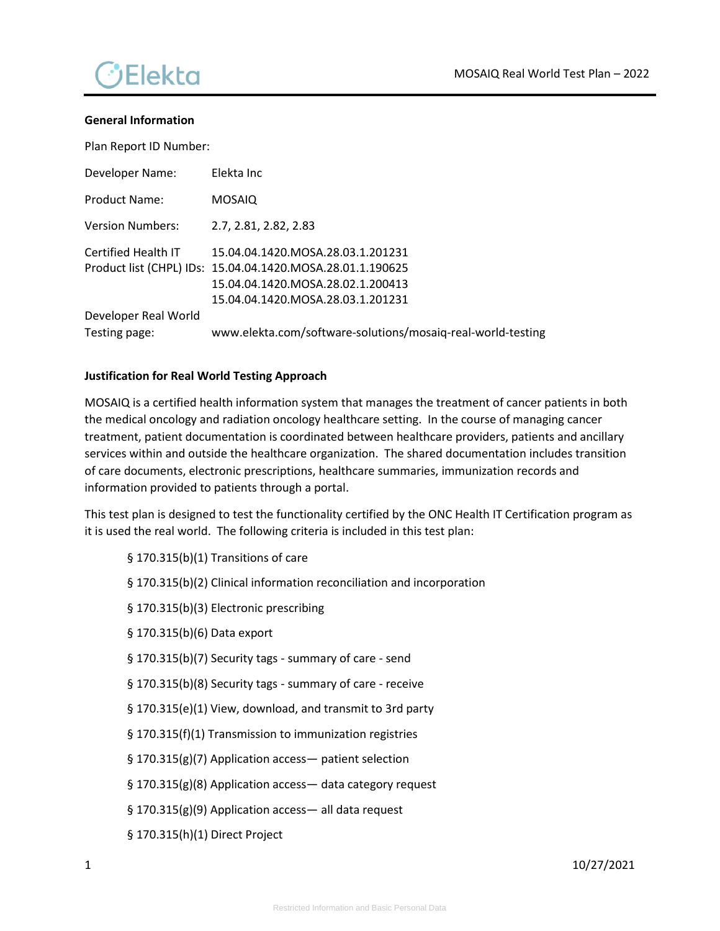

#### **General Information**

Plan Report ID Number:

| Developer Name:         | Elekta Inc                                                  |
|-------------------------|-------------------------------------------------------------|
| Product Name:           | <b>MOSAIQ</b>                                               |
| <b>Version Numbers:</b> | 2.7, 2.81, 2.82, 2.83                                       |
| Certified Health IT     | 15.04.04.1420.MOSA.28.03.1.201231                           |
|                         | Product list (CHPL) IDs: 15.04.04.1420.MOSA.28.01.1.190625  |
|                         | 15.04.04.1420.MOSA.28.02.1.200413                           |
|                         | 15.04.04.1420.MOSA.28.03.1.201231                           |
| Developer Real World    |                                                             |
| Testing page:           | www.elekta.com/software-solutions/mosaiq-real-world-testing |

#### **Justification for Real World Testing Approach**

MOSAIQ is a certified health information system that manages the treatment of cancer patients in both the medical oncology and radiation oncology healthcare setting. In the course of managing cancer treatment, patient documentation is coordinated between healthcare providers, patients and ancillary services within and outside the healthcare organization. The shared documentation includes transition of care documents, electronic prescriptions, healthcare summaries, immunization records and information provided to patients through a portal.

This test plan is designed to test the functionality certified by the ONC Health IT Certification program as it is used the real world. The following criteria is included in this test plan:

- § 170.315(b)(1) Transitions of care
- § 170.315(b)(2) Clinical information reconciliation and incorporation
- § 170.315(b)(3) Electronic prescribing
- § 170.315(b)(6) Data export
- § 170.315(b)(7) Security tags summary of care send
- § 170.315(b)(8) Security tags summary of care receive
- § 170.315(e)(1) View, download, and transmit to 3rd party
- § 170.315(f)(1) Transmission to immunization registries
- § 170.315(g)(7) Application access- patient selection
- § 170.315(g)(8) Application access— data category request
- § 170.315(g)(9) Application access— all data request
- § 170.315(h)(1) Direct Project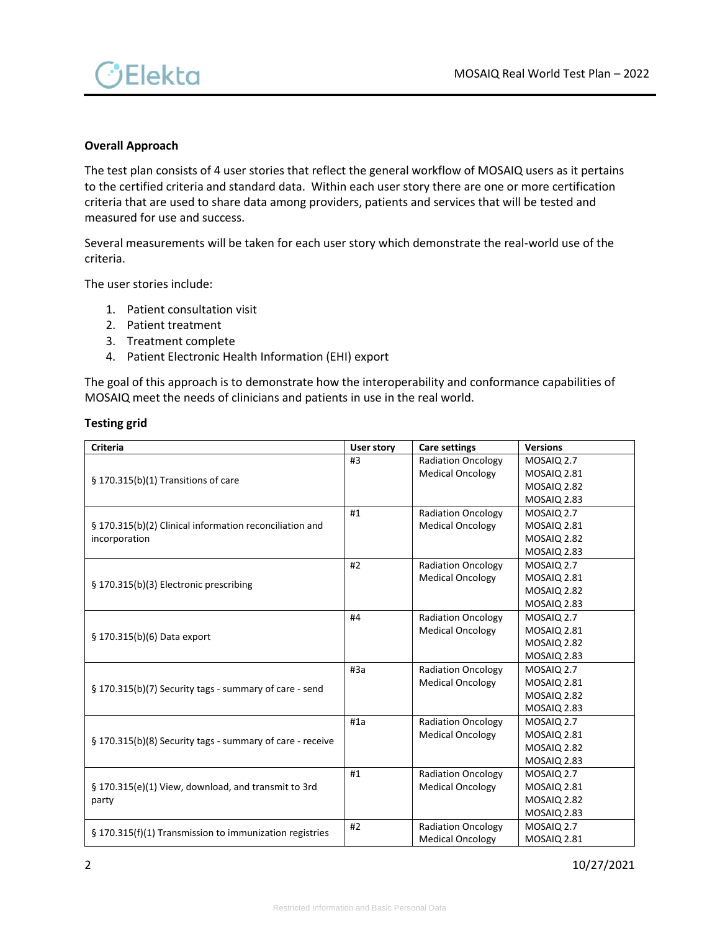

## **Overall Approach**

The test plan consists of 4 user stories that reflect the general workflow of MOSAIQ users as it pertains to the certified criteria and standard data. Within each user story there are one or more certification criteria that are used to share data among providers, patients and services that will be tested and measured for use and success.

Several measurements will be taken for each user story which demonstrate the real-world use of the criteria.

The user stories include:

- 1. Patient consultation visit
- 2. Patient treatment
- 3. Treatment complete
- 4. Patient Electronic Health Information (EHI) export

The goal of this approach is to demonstrate how the interoperability and conformance capabilities of MOSAIQ meet the needs of clinicians and patients in use in the real world.

#### **Testing grid**

| <b>Criteria</b>                                           | <b>User story</b> | <b>Care settings</b>      | <b>Versions</b>    |
|-----------------------------------------------------------|-------------------|---------------------------|--------------------|
|                                                           | #3                | <b>Radiation Oncology</b> | MOSAIQ 2.7         |
|                                                           |                   | <b>Medical Oncology</b>   | <b>MOSAIQ 2.81</b> |
| § 170.315(b)(1) Transitions of care                       |                   |                           | <b>MOSAIQ 2.82</b> |
|                                                           |                   |                           | MOSAIQ 2.83        |
|                                                           | #1                | <b>Radiation Oncology</b> | MOSAIQ 2.7         |
| § 170.315(b)(2) Clinical information reconciliation and   |                   | <b>Medical Oncology</b>   | <b>MOSAIQ 2.81</b> |
| incorporation                                             |                   |                           | <b>MOSAIQ 2.82</b> |
|                                                           |                   |                           | <b>MOSAIQ 2.83</b> |
|                                                           | #2                | <b>Radiation Oncology</b> | MOSAIQ 2.7         |
| § 170.315(b)(3) Electronic prescribing                    |                   | <b>Medical Oncology</b>   | <b>MOSAIQ 2.81</b> |
|                                                           |                   |                           | <b>MOSAIQ 2.82</b> |
|                                                           |                   |                           | MOSAIQ 2.83        |
|                                                           | #4                | <b>Radiation Oncology</b> | MOSAIQ 2.7         |
| § 170.315(b)(6) Data export                               |                   | <b>Medical Oncology</b>   | <b>MOSAIQ 2.81</b> |
|                                                           |                   |                           | <b>MOSAIQ 2.82</b> |
|                                                           |                   |                           | MOSAIQ 2.83        |
|                                                           | #3a               | <b>Radiation Oncology</b> | MOSAIQ 2.7         |
| § 170.315(b)(7) Security tags - summary of care - send    |                   | <b>Medical Oncology</b>   | MOSAIQ 2.81        |
|                                                           |                   |                           | <b>MOSAIQ 2.82</b> |
|                                                           |                   |                           | MOSAIQ 2.83        |
|                                                           | #1a               | <b>Radiation Oncology</b> | MOSAIO 2.7         |
| § 170.315(b)(8) Security tags - summary of care - receive |                   | <b>Medical Oncology</b>   | <b>MOSAIQ 2.81</b> |
|                                                           |                   |                           | <b>MOSAIQ 2.82</b> |
|                                                           |                   |                           | MOSAIQ 2.83        |
|                                                           | #1                | <b>Radiation Oncology</b> | MOSAIQ 2.7         |
| § 170.315(e)(1) View, download, and transmit to 3rd       |                   | <b>Medical Oncology</b>   | <b>MOSAIQ 2.81</b> |
| party                                                     |                   |                           | <b>MOSAIQ 2.82</b> |
|                                                           |                   |                           | <b>MOSAIQ 2.83</b> |
|                                                           | #2                | <b>Radiation Oncology</b> | MOSAIQ 2.7         |
| § 170.315(f)(1) Transmission to immunization registries   |                   | <b>Medical Oncology</b>   | <b>MOSAIQ 2.81</b> |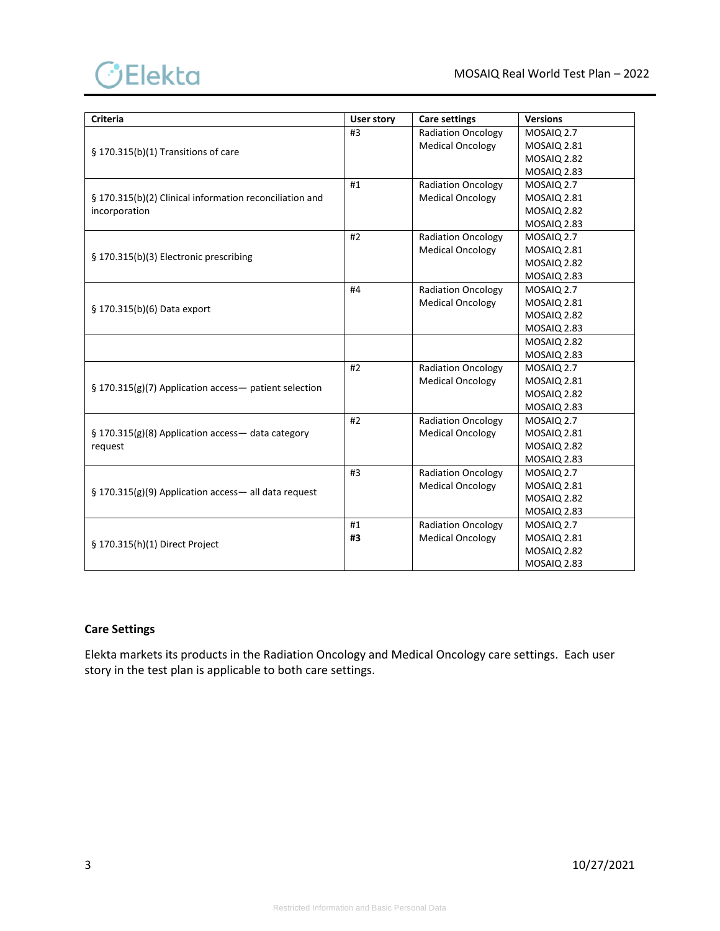

| <b>Criteria</b>                                         | <b>User story</b> | <b>Care settings</b>      | <b>Versions</b>    |
|---------------------------------------------------------|-------------------|---------------------------|--------------------|
|                                                         | #3                | <b>Radiation Oncology</b> | MOSAIQ 2.7         |
|                                                         |                   | <b>Medical Oncology</b>   | <b>MOSAIQ 2.81</b> |
| § 170.315(b)(1) Transitions of care                     |                   |                           | <b>MOSAIQ 2.82</b> |
|                                                         |                   |                           | MOSAIQ 2.83        |
|                                                         | #1                | <b>Radiation Oncology</b> | MOSAIQ 2.7         |
| § 170.315(b)(2) Clinical information reconciliation and |                   | <b>Medical Oncology</b>   | <b>MOSAIQ 2.81</b> |
| incorporation                                           |                   |                           | <b>MOSAIQ 2.82</b> |
|                                                         |                   |                           | <b>MOSAIQ 2.83</b> |
|                                                         | #2                | <b>Radiation Oncology</b> | MOSAIQ 2.7         |
| § 170.315(b)(3) Electronic prescribing                  |                   | <b>Medical Oncology</b>   | <b>MOSAIQ 2.81</b> |
|                                                         |                   |                           | <b>MOSAIQ 2.82</b> |
|                                                         |                   |                           | <b>MOSAIQ 2.83</b> |
|                                                         | #4                | <b>Radiation Oncology</b> | MOSAIO 2.7         |
| § 170.315(b)(6) Data export                             |                   | <b>Medical Oncology</b>   | <b>MOSAIQ 2.81</b> |
|                                                         |                   |                           | <b>MOSAIQ 2.82</b> |
|                                                         |                   |                           | <b>MOSAIQ 2.83</b> |
|                                                         |                   |                           | <b>MOSAIQ 2.82</b> |
|                                                         |                   |                           | <b>MOSAIQ 2.83</b> |
|                                                         | #2                | <b>Radiation Oncology</b> | MOSAIQ 2.7         |
| § 170.315(g)(7) Application access- patient selection   |                   | <b>Medical Oncology</b>   | MOSAIQ 2.81        |
|                                                         |                   |                           | <b>MOSAIQ 2.82</b> |
|                                                         |                   |                           | <b>MOSAIQ 2.83</b> |
|                                                         | #2                | <b>Radiation Oncology</b> | MOSAIQ 2.7         |
| § 170.315(g)(8) Application access- data category       |                   | <b>Medical Oncology</b>   | <b>MOSAIQ 2.81</b> |
| request                                                 |                   |                           | <b>MOSAIQ 2.82</b> |
|                                                         |                   |                           | <b>MOSAIQ 2.83</b> |
|                                                         | #3                | <b>Radiation Oncology</b> | MOSAIQ 2.7         |
| § 170.315(g)(9) Application access- all data request    |                   | <b>Medical Oncology</b>   | <b>MOSAIQ 2.81</b> |
|                                                         |                   |                           | MOSAIQ 2.82        |
|                                                         |                   |                           | <b>MOSAIQ 2.83</b> |
|                                                         | #1                | <b>Radiation Oncology</b> | MOSAIQ 2.7         |
| § 170.315(h)(1) Direct Project                          | #3                | <b>Medical Oncology</b>   | MOSAIQ 2.81        |
|                                                         |                   |                           | <b>MOSAIQ 2.82</b> |
|                                                         |                   |                           | <b>MOSAIQ 2.83</b> |

# **Care Settings**

Elekta markets its products in the Radiation Oncology and Medical Oncology care settings. Each user story in the test plan is applicable to both care settings.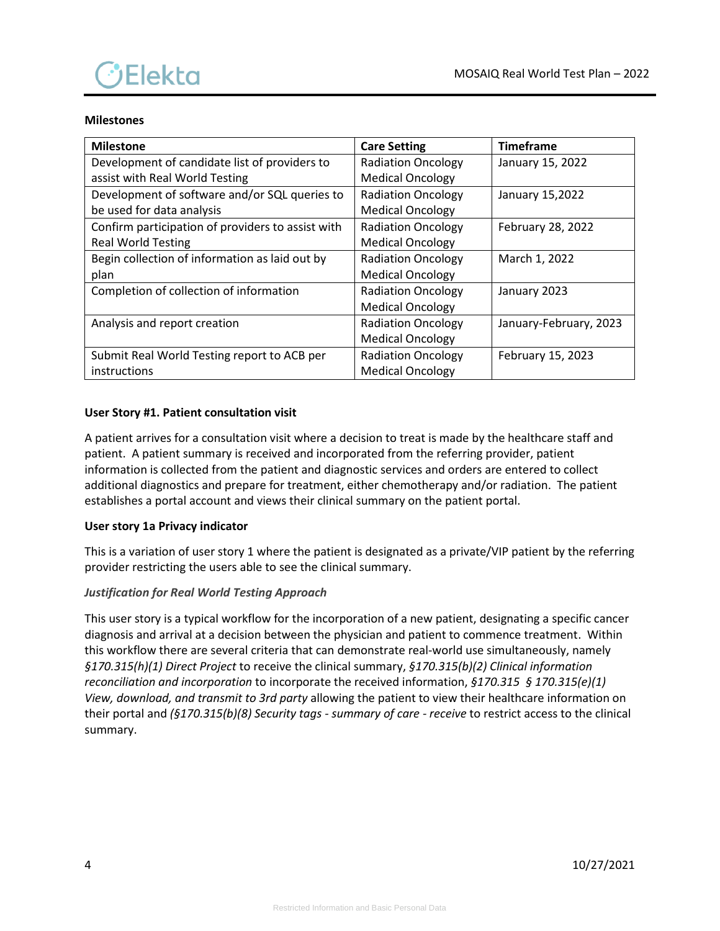

## **Milestones**

| <b>Milestone</b>                                  | <b>Care Setting</b>       | <b>Timeframe</b>       |
|---------------------------------------------------|---------------------------|------------------------|
| Development of candidate list of providers to     | <b>Radiation Oncology</b> | January 15, 2022       |
| assist with Real World Testing                    | <b>Medical Oncology</b>   |                        |
| Development of software and/or SQL queries to     | <b>Radiation Oncology</b> | January 15,2022        |
| be used for data analysis                         | <b>Medical Oncology</b>   |                        |
| Confirm participation of providers to assist with | <b>Radiation Oncology</b> | February 28, 2022      |
| <b>Real World Testing</b>                         | <b>Medical Oncology</b>   |                        |
| Begin collection of information as laid out by    | <b>Radiation Oncology</b> | March 1, 2022          |
| plan                                              | <b>Medical Oncology</b>   |                        |
| Completion of collection of information           | <b>Radiation Oncology</b> | January 2023           |
|                                                   | <b>Medical Oncology</b>   |                        |
| Analysis and report creation                      | <b>Radiation Oncology</b> | January-February, 2023 |
|                                                   | <b>Medical Oncology</b>   |                        |
| Submit Real World Testing report to ACB per       | <b>Radiation Oncology</b> | February 15, 2023      |
| instructions                                      | <b>Medical Oncology</b>   |                        |

## **User Story #1. Patient consultation visit**

A patient arrives for a consultation visit where a decision to treat is made by the healthcare staff and patient. A patient summary is received and incorporated from the referring provider, patient information is collected from the patient and diagnostic services and orders are entered to collect additional diagnostics and prepare for treatment, either chemotherapy and/or radiation. The patient establishes a portal account and views their clinical summary on the patient portal.

### **User story 1a Privacy indicator**

This is a variation of user story 1 where the patient is designated as a private/VIP patient by the referring provider restricting the users able to see the clinical summary.

### *Justification for Real World Testing Approach*

This user story is a typical workflow for the incorporation of a new patient, designating a specific cancer diagnosis and arrival at a decision between the physician and patient to commence treatment. Within this workflow there are several criteria that can demonstrate real-world use simultaneously, namely *§170.315(h)(1) Direct Project* to receive the clinical summary, *§170.315(b)(2) Clinical information reconciliation and incorporation* to incorporate the received information, *§170.315 § 170.315(e)(1) View, download, and transmit to 3rd party* allowing the patient to view their healthcare information on their portal and *(§170.315(b)(8) Security tags - summary of care - receive* to restrict access to the clinical summary.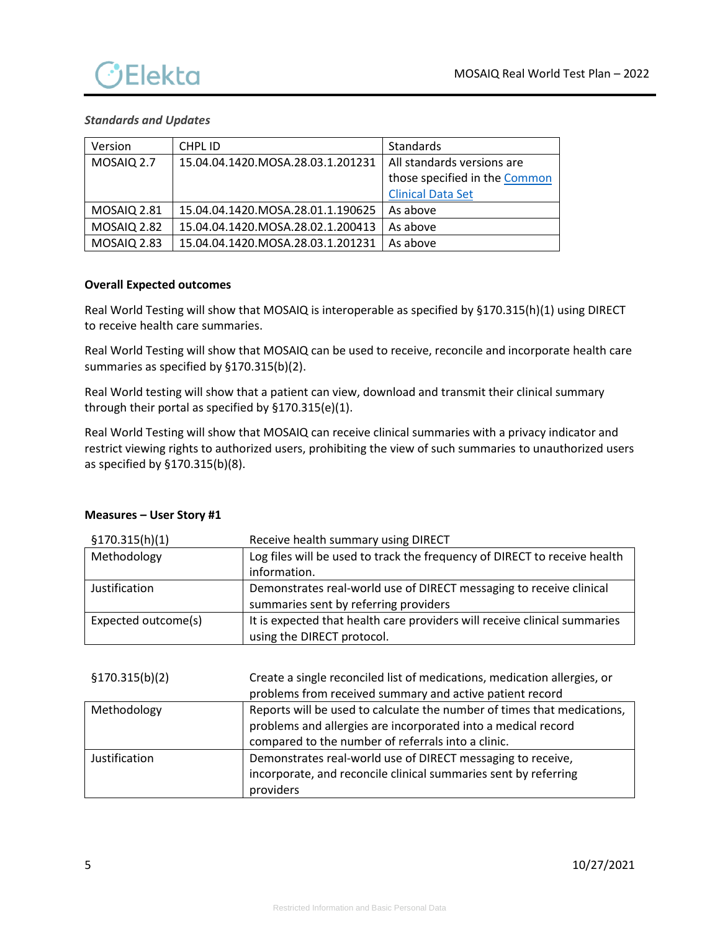

# *Standards and Updates*

| Version            | CHPL ID                           | Standards                     |
|--------------------|-----------------------------------|-------------------------------|
| MOSAIQ 2.7         | 15.04.04.1420.MOSA.28.03.1.201231 | All standards versions are    |
|                    |                                   | those specified in the Common |
|                    |                                   | <b>Clinical Data Set</b>      |
| <b>MOSAIQ 2.81</b> | 15.04.04.1420.MOSA.28.01.1.190625 | As above                      |
| <b>MOSAIQ 2.82</b> | 15.04.04.1420.MOSA.28.02.1.200413 | As above                      |
| <b>MOSAIQ 2.83</b> | 15.04.04.1420.MOSA.28.03.1.201231 | As above                      |

## **Overall Expected outcomes**

Real World Testing will show that MOSAIQ is interoperable as specified by §170.315(h)(1) using DIRECT to receive health care summaries.

Real World Testing will show that MOSAIQ can be used to receive, reconcile and incorporate health care summaries as specified by §170.315(b)(2).

Real World testing will show that a patient can view, download and transmit their clinical summary through their portal as specified by §170.315(e)(1).

Real World Testing will show that MOSAIQ can receive clinical summaries with a privacy indicator and restrict viewing rights to authorized users, prohibiting the view of such summaries to unauthorized users as specified by §170.315(b)(8).

| \$170.315(h)(1)     | Receive health summary using DIRECT                                       |
|---------------------|---------------------------------------------------------------------------|
| Methodology         | Log files will be used to track the frequency of DIRECT to receive health |
|                     | information.                                                              |
| Justification       | Demonstrates real-world use of DIRECT messaging to receive clinical       |
|                     | summaries sent by referring providers                                     |
| Expected outcome(s) | It is expected that health care providers will receive clinical summaries |
|                     | using the DIRECT protocol.                                                |

### **Measures – User Story #1**

| \$170.315(b)(2) | Create a single reconciled list of medications, medication allergies, or |
|-----------------|--------------------------------------------------------------------------|
|                 | problems from received summary and active patient record                 |
| Methodology     | Reports will be used to calculate the number of times that medications,  |
|                 | problems and allergies are incorporated into a medical record            |
|                 | compared to the number of referrals into a clinic.                       |
| Justification   | Demonstrates real-world use of DIRECT messaging to receive,              |
|                 | incorporate, and reconcile clinical summaries sent by referring          |
|                 | providers                                                                |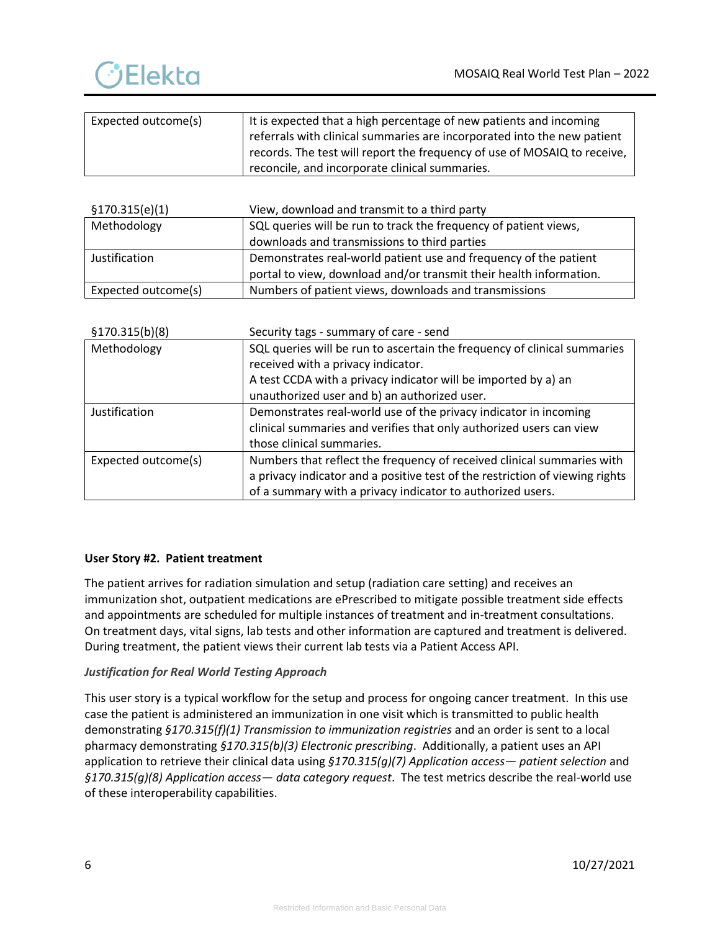

| Expected outcome(s) | It is expected that a high percentage of new patients and incoming       |
|---------------------|--------------------------------------------------------------------------|
|                     | referrals with clinical summaries are incorporated into the new patient  |
|                     | records. The test will report the frequency of use of MOSAIQ to receive, |
|                     | reconcile, and incorporate clinical summaries.                           |

| \$170.315(e)(1)     | View, download and transmit to a third party                       |
|---------------------|--------------------------------------------------------------------|
| Methodology         | SQL queries will be run to track the frequency of patient views,   |
|                     | downloads and transmissions to third parties                       |
| Justification       | Demonstrates real-world patient use and frequency of the patient   |
|                     | portal to view, download and/or transmit their health information. |
| Expected outcome(s) | Numbers of patient views, downloads and transmissions              |

| \$170.315(b)(8)     | Security tags - summary of care - send                                       |  |
|---------------------|------------------------------------------------------------------------------|--|
| Methodology         | SQL queries will be run to ascertain the frequency of clinical summaries     |  |
|                     | received with a privacy indicator.                                           |  |
|                     | A test CCDA with a privacy indicator will be imported by a) an               |  |
|                     | unauthorized user and b) an authorized user.                                 |  |
| Justification       | Demonstrates real-world use of the privacy indicator in incoming             |  |
|                     | clinical summaries and verifies that only authorized users can view          |  |
|                     | those clinical summaries.                                                    |  |
| Expected outcome(s) | Numbers that reflect the frequency of received clinical summaries with       |  |
|                     | a privacy indicator and a positive test of the restriction of viewing rights |  |
|                     | of a summary with a privacy indicator to authorized users.                   |  |

# **User Story #2. Patient treatment**

The patient arrives for radiation simulation and setup (radiation care setting) and receives an immunization shot, outpatient medications are ePrescribed to mitigate possible treatment side effects and appointments are scheduled for multiple instances of treatment and in-treatment consultations. On treatment days, vital signs, lab tests and other information are captured and treatment is delivered. During treatment, the patient views their current lab tests via a Patient Access API.

# *Justification for Real World Testing Approach*

This user story is a typical workflow for the setup and process for ongoing cancer treatment. In this use case the patient is administered an immunization in one visit which is transmitted to public health demonstrating *§170.315(f)(1) Transmission to immunization registries* and an order is sent to a local pharmacy demonstrating *§170.315(b)(3) Electronic prescribing*. Additionally, a patient uses an API application to retrieve their clinical data using *§170.315(g)(7) Application access— patient selection* and *§170.315(g)(8) Application access— data category request*. The test metrics describe the real-world use of these interoperability capabilities.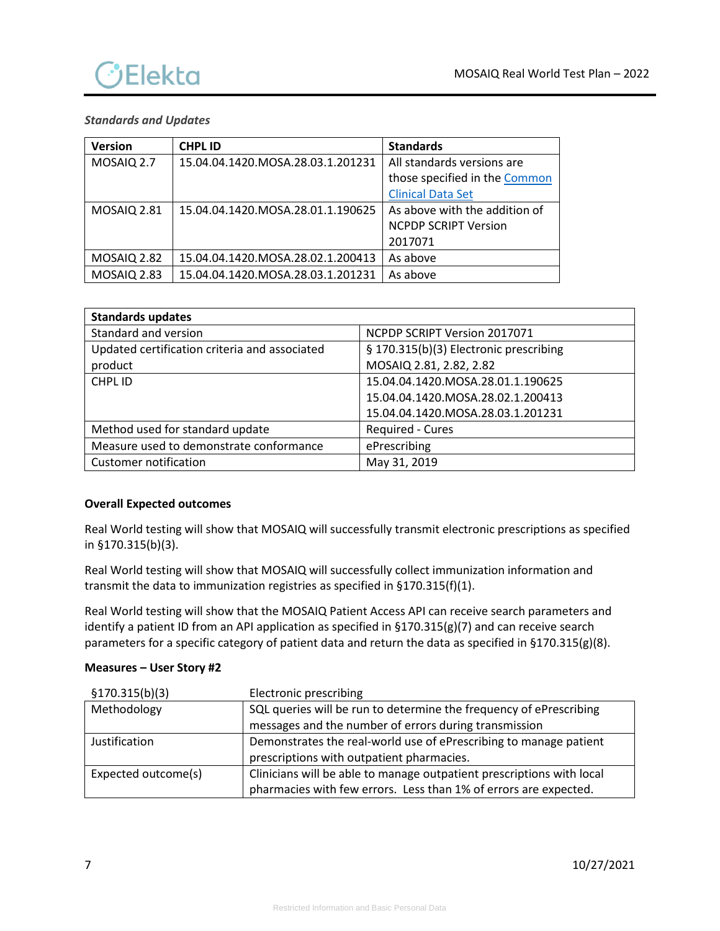

# *Standards and Updates*

| <b>Version</b>     | <b>CHPLID</b>                     | <b>Standards</b>              |
|--------------------|-----------------------------------|-------------------------------|
| MOSAIQ 2.7         | 15.04.04.1420.MOSA.28.03.1.201231 | All standards versions are    |
|                    |                                   | those specified in the Common |
|                    |                                   | <b>Clinical Data Set</b>      |
| <b>MOSAIQ 2.81</b> | 15.04.04.1420.MOSA.28.01.1.190625 | As above with the addition of |
|                    |                                   | <b>NCPDP SCRIPT Version</b>   |
|                    |                                   | 2017071                       |
| <b>MOSAIQ 2.82</b> | 15.04.04.1420.MOSA.28.02.1.200413 | As above                      |
| <b>MOSAIQ 2.83</b> | 15.04.04.1420.MOSA.28.03.1.201231 | As above                      |

| <b>Standards updates</b>                      |                                        |
|-----------------------------------------------|----------------------------------------|
| Standard and version                          | NCPDP SCRIPT Version 2017071           |
| Updated certification criteria and associated | § 170.315(b)(3) Electronic prescribing |
| product                                       | MOSAIQ 2.81, 2.82, 2.82                |
| CHPL ID                                       | 15.04.04.1420.MOSA.28.01.1.190625      |
|                                               | 15.04.04.1420.MOSA.28.02.1.200413      |
|                                               | 15.04.04.1420.MOSA.28.03.1.201231      |
| Method used for standard update               | Required - Cures                       |
| Measure used to demonstrate conformance       | ePrescribing                           |
| Customer notification                         | May 31, 2019                           |

## **Overall Expected outcomes**

Real World testing will show that MOSAIQ will successfully transmit electronic prescriptions as specified in §170.315(b)(3).

Real World testing will show that MOSAIQ will successfully collect immunization information and transmit the data to immunization registries as specified in §170.315(f)(1).

Real World testing will show that the MOSAIQ Patient Access API can receive search parameters and identify a patient ID from an API application as specified in §170.315(g)(7) and can receive search parameters for a specific category of patient data and return the data as specified in §170.315(g)(8).

### **Measures – User Story #2**

| \$170.315(b)(3)     | Electronic prescribing                                                |
|---------------------|-----------------------------------------------------------------------|
| Methodology         | SQL queries will be run to determine the frequency of ePrescribing    |
|                     | messages and the number of errors during transmission                 |
| Justification       | Demonstrates the real-world use of ePrescribing to manage patient     |
|                     | prescriptions with outpatient pharmacies.                             |
| Expected outcome(s) | Clinicians will be able to manage outpatient prescriptions with local |
|                     | pharmacies with few errors. Less than 1% of errors are expected.      |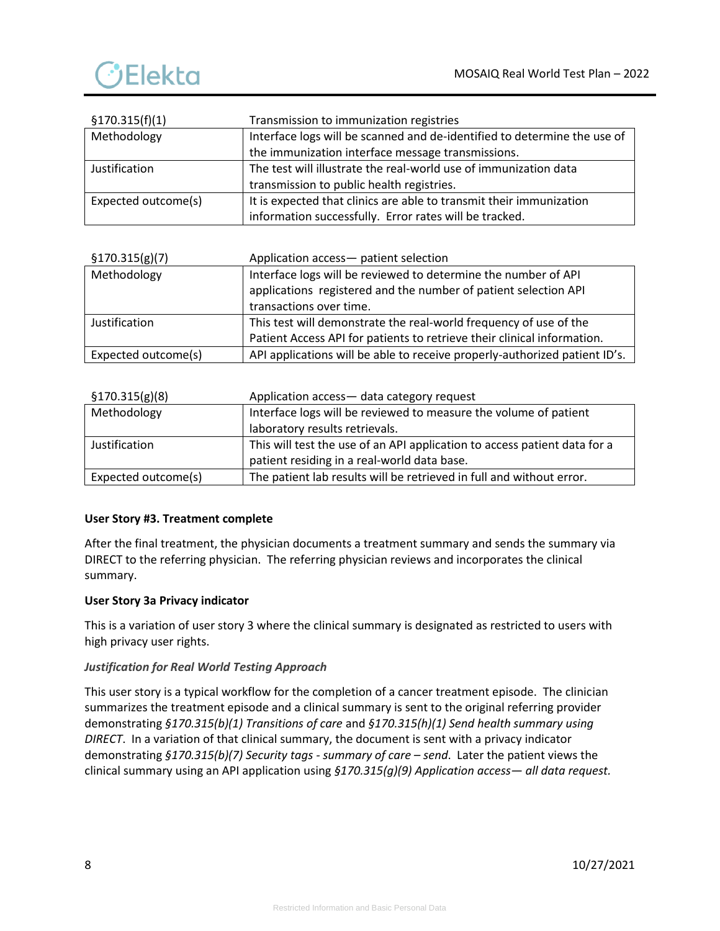

| \$170.315(f)(1)     | Transmission to immunization registries                                  |
|---------------------|--------------------------------------------------------------------------|
| Methodology         | Interface logs will be scanned and de-identified to determine the use of |
|                     | the immunization interface message transmissions.                        |
| Justification       | The test will illustrate the real-world use of immunization data         |
|                     | transmission to public health registries.                                |
| Expected outcome(s) | It is expected that clinics are able to transmit their immunization      |
|                     | information successfully. Error rates will be tracked.                   |

| \$170.315(g)(7)     | Application access- patient selection                                      |
|---------------------|----------------------------------------------------------------------------|
| Methodology         | Interface logs will be reviewed to determine the number of API             |
|                     | applications registered and the number of patient selection API            |
|                     | transactions over time.                                                    |
| Justification       | This test will demonstrate the real-world frequency of use of the          |
|                     | Patient Access API for patients to retrieve their clinical information.    |
| Expected outcome(s) | API applications will be able to receive properly-authorized patient ID's. |

| \$170.315(g)(8)     | Application access- data category request                                 |
|---------------------|---------------------------------------------------------------------------|
| Methodology         | Interface logs will be reviewed to measure the volume of patient          |
|                     | laboratory results retrievals.                                            |
| Justification       | This will test the use of an API application to access patient data for a |
|                     | patient residing in a real-world data base.                               |
| Expected outcome(s) | The patient lab results will be retrieved in full and without error.      |

# **User Story #3. Treatment complete**

After the final treatment, the physician documents a treatment summary and sends the summary via DIRECT to the referring physician. The referring physician reviews and incorporates the clinical summary.

### **User Story 3a Privacy indicator**

This is a variation of user story 3 where the clinical summary is designated as restricted to users with high privacy user rights.

### *Justification for Real World Testing Approach*

This user story is a typical workflow for the completion of a cancer treatment episode. The clinician summarizes the treatment episode and a clinical summary is sent to the original referring provider demonstrating *§170.315(b)(1) Transitions of care* and *§170.315(h)(1) Send health summary using DIRECT*. In a variation of that clinical summary, the document is sent with a privacy indicator demonstrating *§170.315(b)(7) Security tags - summary of care – send*. Later the patient views the clinical summary using an API application using *§170.315(g)(9) Application access— all data request.*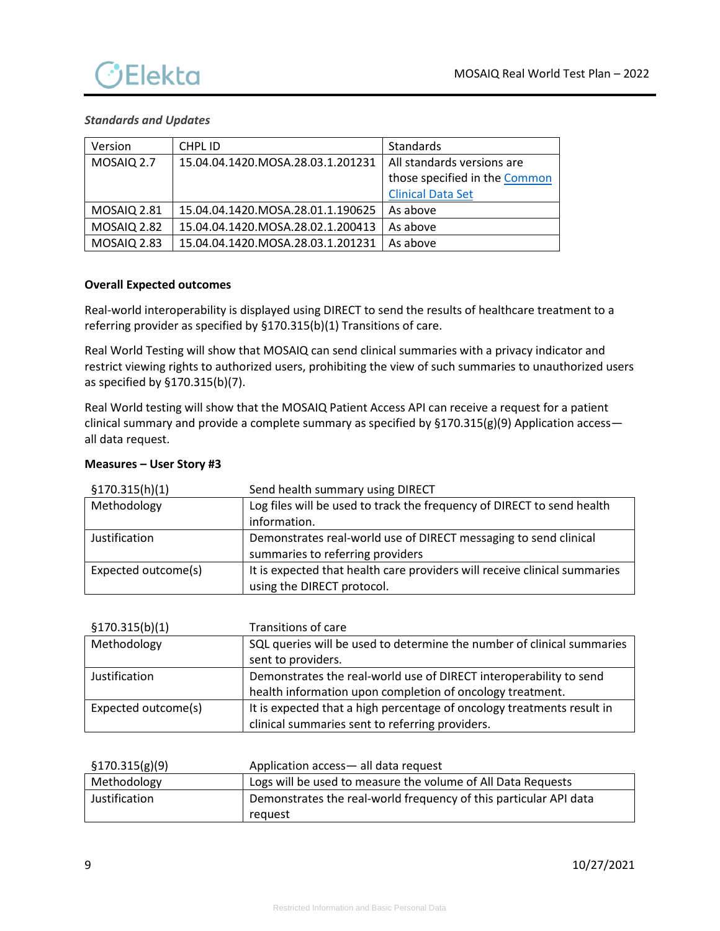

## *Standards and Updates*

| Version            | CHPL ID                           | Standards                     |
|--------------------|-----------------------------------|-------------------------------|
| MOSAIQ 2.7         | 15.04.04.1420.MOSA.28.03.1.201231 | All standards versions are    |
|                    |                                   | those specified in the Common |
|                    |                                   | <b>Clinical Data Set</b>      |
| <b>MOSAIQ 2.81</b> | 15.04.04.1420.MOSA.28.01.1.190625 | As above                      |
| <b>MOSAIQ 2.82</b> | 15.04.04.1420.MOSA.28.02.1.200413 | As above                      |
| <b>MOSAIQ 2.83</b> | 15.04.04.1420.MOSA.28.03.1.201231 | As above                      |

## **Overall Expected outcomes**

Real-world interoperability is displayed using DIRECT to send the results of healthcare treatment to a referring provider as specified by §170.315(b)(1) Transitions of care.

Real World Testing will show that MOSAIQ can send clinical summaries with a privacy indicator and restrict viewing rights to authorized users, prohibiting the view of such summaries to unauthorized users as specified by §170.315(b)(7).

Real World testing will show that the MOSAIQ Patient Access API can receive a request for a patient clinical summary and provide a complete summary as specified by  $$170.315(g)(9)$  Application accessall data request.

| \$170.315(h)(1)     | Send health summary using DIRECT                                          |
|---------------------|---------------------------------------------------------------------------|
| Methodology         | Log files will be used to track the frequency of DIRECT to send health    |
|                     | information.                                                              |
| Justification       | Demonstrates real-world use of DIRECT messaging to send clinical          |
|                     | summaries to referring providers                                          |
| Expected outcome(s) | It is expected that health care providers will receive clinical summaries |
|                     | using the DIRECT protocol.                                                |

## **Measures – User Story #3**

| \$170.315(b)(1)     | Transitions of care                                                    |
|---------------------|------------------------------------------------------------------------|
| Methodology         | SQL queries will be used to determine the number of clinical summaries |
|                     | sent to providers.                                                     |
| Justification       | Demonstrates the real-world use of DIRECT interoperability to send     |
|                     | health information upon completion of oncology treatment.              |
| Expected outcome(s) | It is expected that a high percentage of oncology treatments result in |
|                     | clinical summaries sent to referring providers.                        |

| \$170.315(g)(9) | Application access-all data request                               |
|-----------------|-------------------------------------------------------------------|
| Methodology     | Logs will be used to measure the volume of All Data Requests      |
| Justification   | Demonstrates the real-world frequency of this particular API data |
|                 | request                                                           |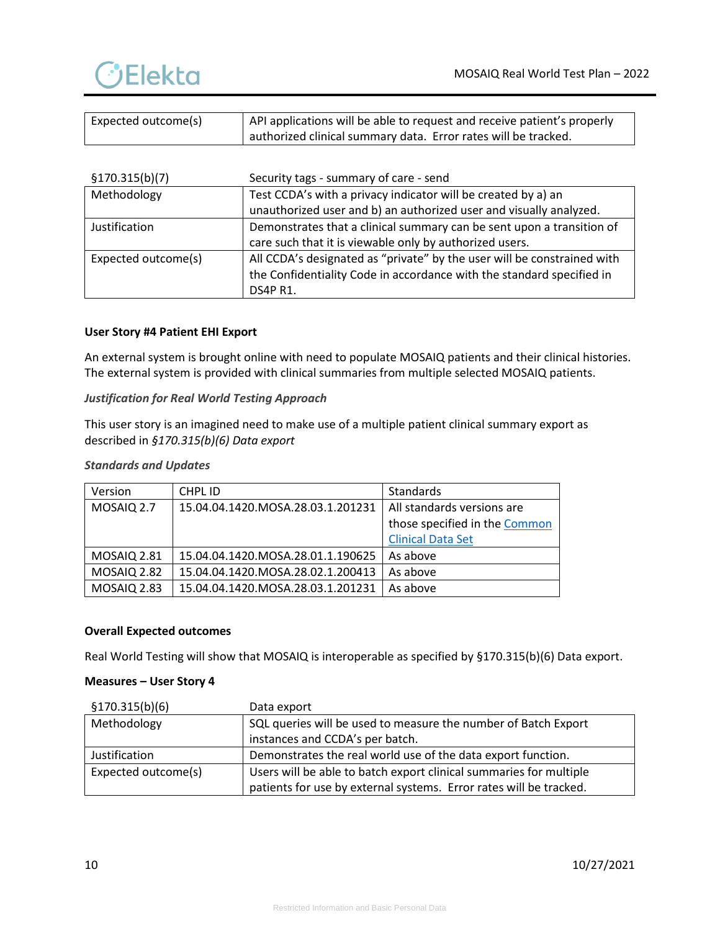

| Expected outcome(s) | API applications will be able to request and receive patient's properly |  |
|---------------------|-------------------------------------------------------------------------|--|
|                     | I authorized clinical summary data. Error rates will be tracked.        |  |

| \$170.315(b)(7)     | Security tags - summary of care - send                                  |
|---------------------|-------------------------------------------------------------------------|
| Methodology         | Test CCDA's with a privacy indicator will be created by a) an           |
|                     | unauthorized user and b) an authorized user and visually analyzed.      |
| Justification       | Demonstrates that a clinical summary can be sent upon a transition of   |
|                     | care such that it is viewable only by authorized users.                 |
| Expected outcome(s) | All CCDA's designated as "private" by the user will be constrained with |
|                     | the Confidentiality Code in accordance with the standard specified in   |
|                     | DS4P R1.                                                                |

## **User Story #4 Patient EHI Export**

An external system is brought online with need to populate MOSAIQ patients and their clinical histories. The external system is provided with clinical summaries from multiple selected MOSAIQ patients.

## *Justification for Real World Testing Approach*

This user story is an imagined need to make use of a multiple patient clinical summary export as described in *§170.315(b)(6) Data export*

#### *Standards and Updates*

| Version            | CHPL ID                           | Standards                     |
|--------------------|-----------------------------------|-------------------------------|
| MOSAIQ 2.7         | 15.04.04.1420.MOSA.28.03.1.201231 | All standards versions are    |
|                    |                                   | those specified in the Common |
|                    |                                   | <b>Clinical Data Set</b>      |
| <b>MOSAIO 2.81</b> | 15.04.04.1420.MOSA.28.01.1.190625 | As above                      |
| <b>MOSAIQ 2.82</b> | 15.04.04.1420.MOSA.28.02.1.200413 | As above                      |
| <b>MOSAIQ 2.83</b> | 15.04.04.1420.MOSA.28.03.1.201231 | As above                      |

### **Overall Expected outcomes**

Real World Testing will show that MOSAIQ is interoperable as specified by §170.315(b)(6) Data export.

## **Measures – User Story 4**

| \$170.315(b)(6)     | Data export                                                        |
|---------------------|--------------------------------------------------------------------|
| Methodology         | SQL queries will be used to measure the number of Batch Export     |
|                     | instances and CCDA's per batch.                                    |
| Justification       | Demonstrates the real world use of the data export function.       |
| Expected outcome(s) | Users will be able to batch export clinical summaries for multiple |
|                     | patients for use by external systems. Error rates will be tracked. |